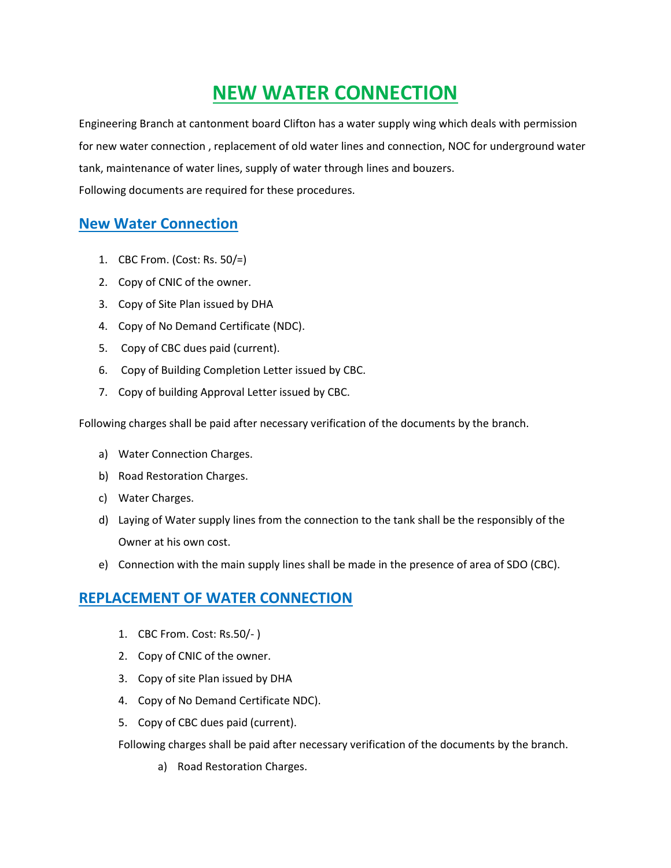# **NEW WATER CONNECTION**

Engineering Branch at cantonment board Clifton has a water supply wing which deals with permission for new water connection , replacement of old water lines and connection, NOC for underground water tank, maintenance of water lines, supply of water through lines and bouzers. Following documents are required for these procedures.

## **New Water Connection**

- 1. CBC From. (Cost: Rs. 50/=)
- 2. Copy of CNIC of the owner.
- 3. Copy of Site Plan issued by DHA
- 4. Copy of No Demand Certificate (NDC).
- 5. Copy of CBC dues paid (current).
- 6. Copy of Building Completion Letter issued by CBC.
- 7. Copy of building Approval Letter issued by CBC.

Following charges shall be paid after necessary verification of the documents by the branch.

- a) Water Connection Charges.
- b) Road Restoration Charges.
- c) Water Charges.
- d) Laying of Water supply lines from the connection to the tank shall be the responsibly of the Owner at his own cost.
- e) Connection with the main supply lines shall be made in the presence of area of SDO (CBC).

### **REPLACEMENT OF WATER CONNECTION**

- 1. CBC From. Cost: Rs.50/- )
- 2. Copy of CNIC of the owner.
- 3. Copy of site Plan issued by DHA
- 4. Copy of No Demand Certificate NDC).
- 5. Copy of CBC dues paid (current).

Following charges shall be paid after necessary verification of the documents by the branch.

a) Road Restoration Charges.